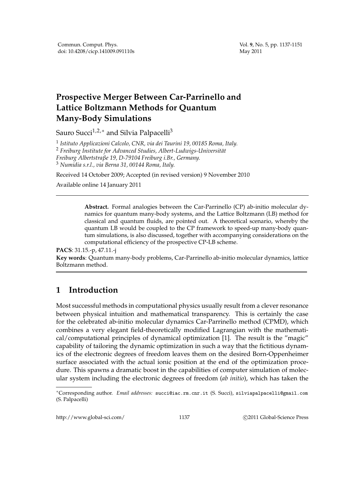Vol. **9**, No. 5, pp. 1137-1151 May 2011

## **Prospective Merger Between Car-Parrinello and Lattice Boltzmann Methods for Quantum Many-Body Simulations**

Sauro Succi<sup>1,2,∗</sup> and Silvia Palpacelli<sup>3</sup>

 *Istituto Applicazioni Calcolo, CNR, via dei Taurini 19, 00185 Roma, Italy. Freiburg Institute for Advanced Studies, Albert-Ludwigs-Universitat*¨ *Freiburg Albertstraβe 19, D-79104 Freiburg i.Br., Germany. Numidia s.r.l., via Berna 31, 00144 Roma, Italy.*

Received 14 October 2009; Accepted (in revised version) 9 November 2010

Available online 14 January 2011

**Abstract.** Formal analogies between the Car-Parrinello (CP) ab-initio molecular dynamics for quantum many-body systems, and the Lattice Boltzmann (LB) method for classical and quantum fluids, are pointed out. A theoretical scenario, whereby the quantum LB would be coupled to the CP framework to speed-up many-body quantum simulations, is also discussed, together with accompanying considerations on the computational efficiency of the prospective CP-LB scheme.

## **PACS**: 31.15.-p, 47.11.-j

**Key words**: Quantum many-body problems, Car-Parrinello ab-initio molecular dynamics, lattice Boltzmann method.

## **1 Introduction**

Most successful methods in computational physics usually result from a clever resonance between physical intuition and mathematical transparency. This is certainly the case for the celebrated ab-initio molecular dynamics Car-Parrinello method (CPMD), which combines a very elegant field-theoretically modified Lagrangian with the mathematical/computational principles of dynamical optimization [1]. The result is the "magic" capability of tailoring the dynamic optimization in such a way that the fictitious dynamics of the electronic degrees of freedom leaves them on the desired Born-Oppenheimer surface associated with the actual ionic position at the end of the optimization procedure. This spawns a dramatic boost in the capabilities of computer simulation of molecular system including the electronic degrees of freedom (*ab initio*), which has taken the

http://www.global-sci.com/ 1137 c 2011 Global-Science Press

<sup>∗</sup>Corresponding author. *Email addresses:* succi@iac.rm.cnr.it (S. Succi), silviapalpacelli@gmail.com (S. Palpacelli)